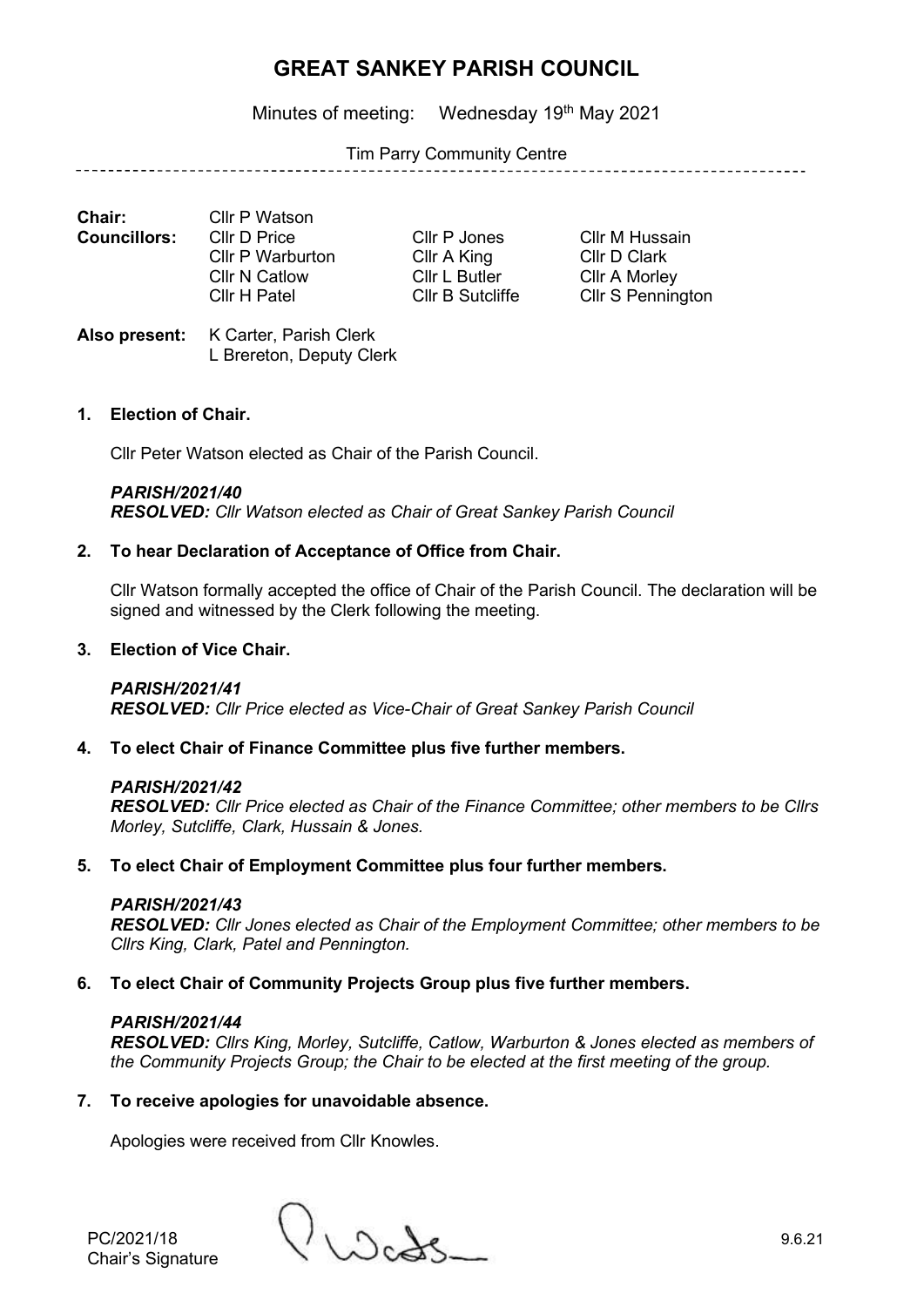Minutes of meeting: Wednesday 19<sup>th</sup> May 2021

### Tim Parry Community Centre

. \_ \_ \_ \_ \_ \_ \_ \_ \_ \_ \_ \_ \_ \_ \_

**Chair:** Cllr P Watson<br>**Councillors:** Cllr D Price **Councillors:** Cllr D Price Cllr P Jones Cllr M Hussain Cllr P Warburton Cllr A King Cllr D Clark Cllr N Catlow Cllr L Butler Cllr A Morley

Cllr H Patel Cllr B Sutcliffe Cllr S Pennington

**Also present:** K Carter, Parish Clerk L Brereton, Deputy Clerk

## **1. Election of Chair.**

Cllr Peter Watson elected as Chair of the Parish Council.

#### *PARISH/2021/40*

*RESOLVED: Cllr Watson elected as Chair of Great Sankey Parish Council*

## **2. To hear Declaration of Acceptance of Office from Chair.**

Cllr Watson formally accepted the office of Chair of the Parish Council. The declaration will be signed and witnessed by the Clerk following the meeting.

#### **3. Election of Vice Chair.**

#### *PARISH/2021/41*

*RESOLVED: Cllr Price elected as Vice-Chair of Great Sankey Parish Council*

#### **4. To elect Chair of Finance Committee plus five further members.**

#### *PARISH/2021/42*

*RESOLVED: Cllr Price elected as Chair of the Finance Committee; other members to be Cllrs Morley, Sutcliffe, Clark, Hussain & Jones.*

#### **5. To elect Chair of Employment Committee plus four further members.**

#### *PARISH/2021/43*

*RESOLVED: Cllr Jones elected as Chair of the Employment Committee; other members to be Cllrs King, Clark, Patel and Pennington.*

#### **6. To elect Chair of Community Projects Group plus five further members.**

#### *PARISH/2021/44*

*RESOLVED: Cllrs King, Morley, Sutcliffe, Catlow, Warburton & Jones elected as members of the Community Projects Group; the Chair to be elected at the first meeting of the group.*

#### **7. To receive apologies for unavoidable absence.**

Apologies were received from Cllr Knowles.

PC/2021/18 9.6.21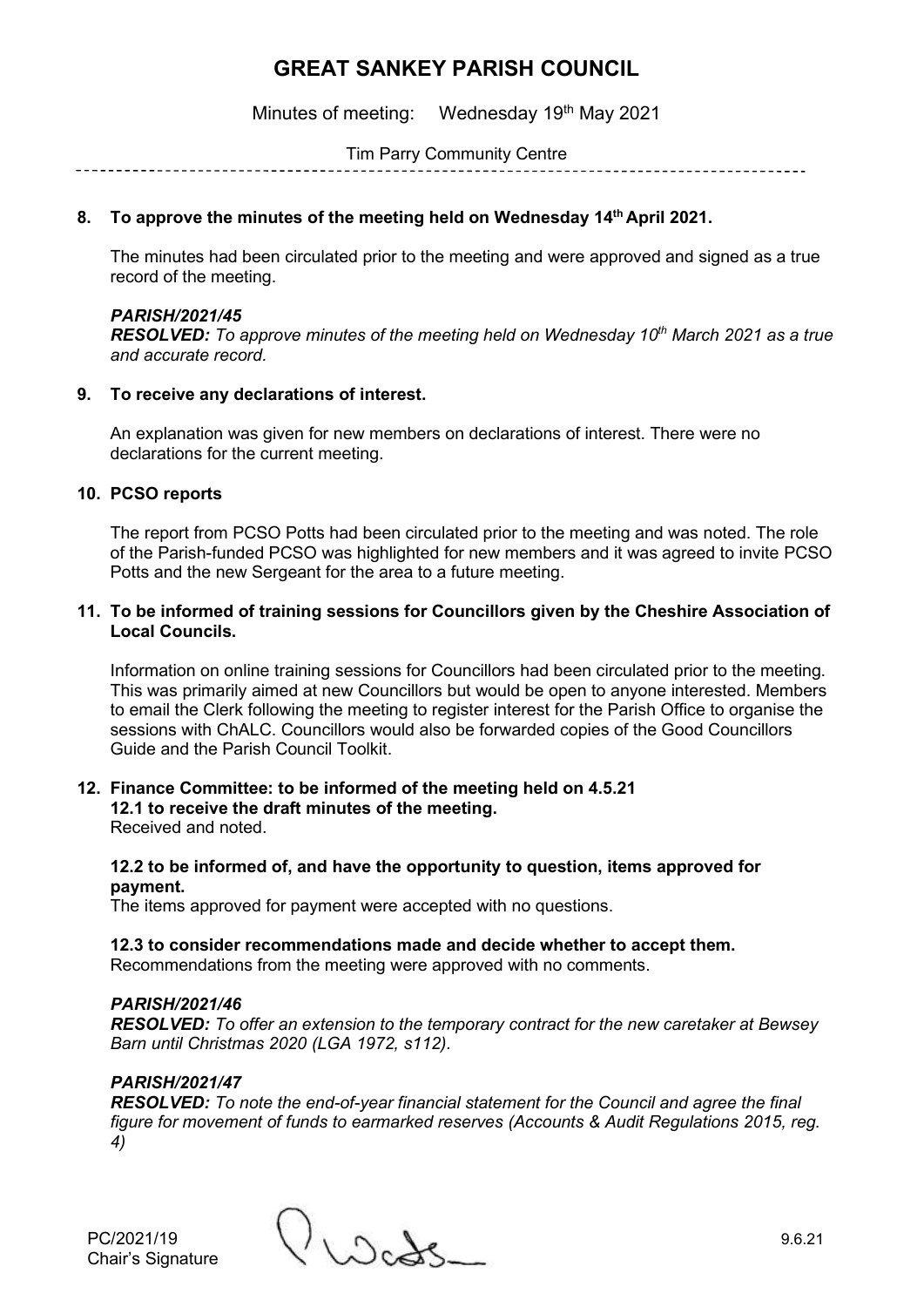Minutes of meeting: Wednesday 19<sup>th</sup> May 2021

Tim Parry Community Centre

#### **8. To approve the minutes of the meeting held on Wednesday 14 th April 2021.**

The minutes had been circulated prior to the meeting and were approved and signed as a true record of the meeting.

#### *PARISH/2021/45*

*RESOLVED: To approve minutes of the meeting held on Wednesday 10th March 2021 as a true and accurate record.*

#### **9. To receive any declarations of interest.**

An explanation was given for new members on declarations of interest. There were no declarations for the current meeting.

#### **10. PCSO reports**

The report from PCSO Potts had been circulated prior to the meeting and was noted. The role of the Parish-funded PCSO was highlighted for new members and it was agreed to invite PCSO Potts and the new Sergeant for the area to a future meeting.

#### **11. To be informed of training sessions for Councillors given by the Cheshire Association of Local Councils.**

Information on online training sessions for Councillors had been circulated prior to the meeting. This was primarily aimed at new Councillors but would be open to anyone interested. Members to email the Clerk following the meeting to register interest for the Parish Office to organise the sessions with ChALC. Councillors would also be forwarded copies of the Good Councillors Guide and the Parish Council Toolkit.

# **12. Finance Committee: to be informed of the meeting held on 4.5.21**

**12.1 to receive the draft minutes of the meeting.** Received and noted.

#### **12.2 to be informed of, and have the opportunity to question, items approved for payment.**

The items approved for payment were accepted with no questions.

#### **12.3 to consider recommendations made and decide whether to accept them.**

Recommendations from the meeting were approved with no comments.

#### *PARISH/2021/46*

*RESOLVED: To offer an extension to the temporary contract for the new caretaker at Bewsey Barn until Christmas 2020 (LGA 1972, s112).*

#### *PARISH/2021/47*

*RESOLVED: To note the end-of-year financial statement for the Council and agree the final figure for movement of funds to earmarked reserves (Accounts & Audit Regulations 2015, reg. 4)*

PC/2021/19 9.6.21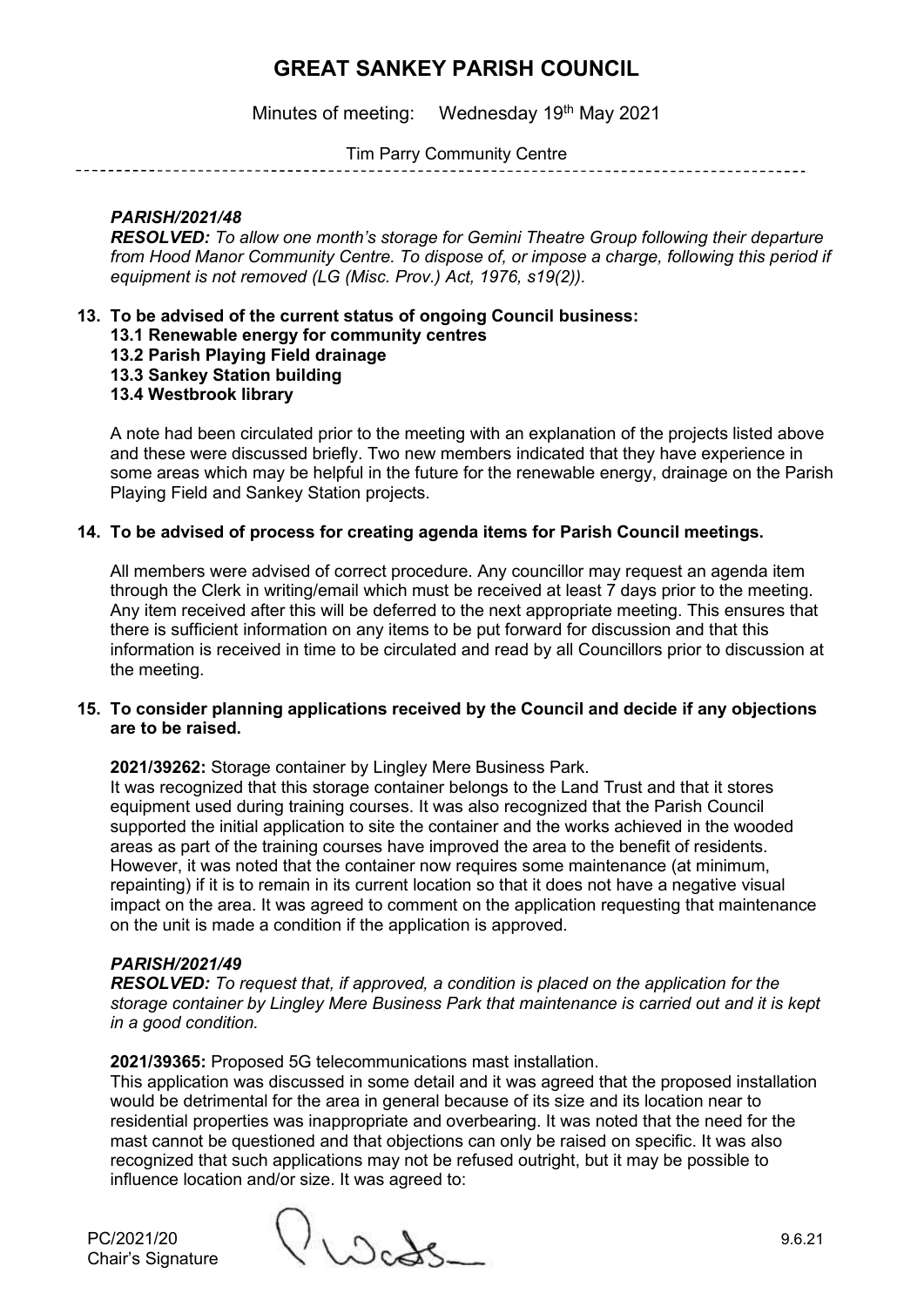Minutes of meeting: Wednesday 19<sup>th</sup> May 2021

Tim Parry Community Centre

# *PARISH/2021/48*

*RESOLVED: To allow one month's storage for Gemini Theatre Group following their departure from Hood Manor Community Centre. To dispose of, or impose a charge, following this period if equipment is not removed (LG (Misc. Prov.) Act, 1976, s19(2)).*

- **13. To be advised of the current status of ongoing Council business:**
	- **13.1 Renewable energy for community centres**
	- **13.2 Parish Playing Field drainage**

**13.3 Sankey Station building**

# **13.4 Westbrook library**

A note had been circulated prior to the meeting with an explanation of the projects listed above and these were discussed briefly. Two new members indicated that they have experience in some areas which may be helpful in the future for the renewable energy, drainage on the Parish Playing Field and Sankey Station projects.

## **14. To be advised of process for creating agenda items for Parish Council meetings.**

All members were advised of correct procedure. Any councillor may request an agenda item through the Clerk in writing/email which must be received at least 7 days prior to the meeting. Any item received after this will be deferred to the next appropriate meeting. This ensures that there is sufficient information on any items to be put forward for discussion and that this information is received in time to be circulated and read by all Councillors prior to discussion at the meeting.

#### **15. To consider planning applications received by the Council and decide if any objections are to be raised.**

**2021/39262:** Storage container by Lingley Mere Business Park.

It was recognized that this storage container belongs to the Land Trust and that it stores equipment used during training courses. It was also recognized that the Parish Council supported the initial application to site the container and the works achieved in the wooded areas as part of the training courses have improved the area to the benefit of residents. However, it was noted that the container now requires some maintenance (at minimum, repainting) if it is to remain in its current location so that it does not have a negative visual impact on the area. It was agreed to comment on the application requesting that maintenance on the unit is made a condition if the application is approved.

#### *PARISH/2021/49*

*RESOLVED: To request that, if approved, a condition is placed on the application for the storage container by Lingley Mere Business Park that maintenance is carried out and it is kept in a good condition.*

#### **2021/39365:** Proposed 5G telecommunications mast installation.

This application was discussed in some detail and it was agreed that the proposed installation would be detrimental for the area in general because of its size and its location near to residential properties was inappropriate and overbearing. It was noted that the need for the mast cannot be questioned and that objections can only be raised on specific. It was also recognized that such applications may not be refused outright, but it may be possible to influence location and/or size. It was agreed to:

 $PC/2021/20$ <br>Chair's Signature  $9.6.21$